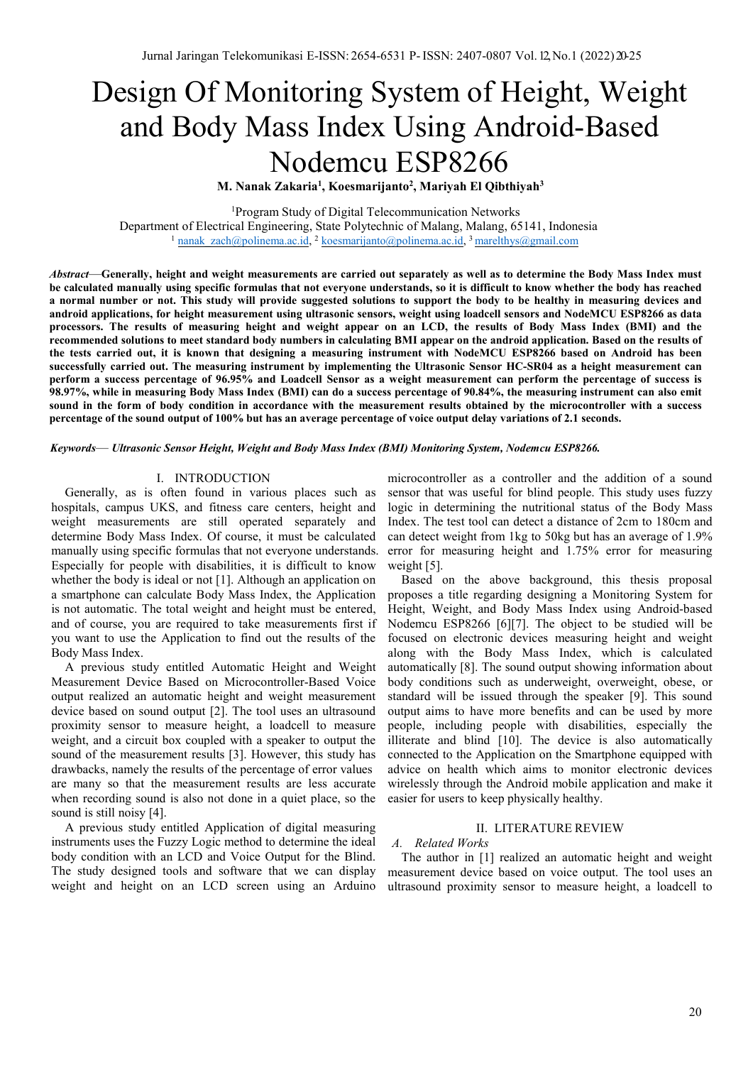# Design Of Monitoring System of Height, Weight and Body Mass Index Using Android-Based Nodemcu ESP8266

**M. Nanak Zakaria1 , Koesmarijanto2 , Mariyah El Qibthiyah3**

<sup>1</sup>Program Study of Digital Telecommunication Networks Department of Electrical Engineering, State Polytechnic of Malang, Malang, 65141, Indonesia <sup>1</sup> nanak\_zach@polinema.ac.id, <sup>2</sup> koesmarijanto@polinema.ac.id, <sup>3</sup> marelthys@gmail.com

*Abstract*—**Generally, height and weight measurements are carried out separately as well as to determine the Body Mass Index must be calculated manually using specific formulas that not everyone understands, so it is difficult to know whether the body has reached a normal number or not. This study will provide suggested solutions to support the body to be healthy in measuring devices and android applications, for height measurement using ultrasonic sensors, weight using loadcell sensors and NodeMCU ESP8266 as data processors. The results of measuring height and weight appear on an LCD, the results of Body Mass Index (BMI) and the recommended solutions to meet standard body numbers in calculating BMI appear on the android application. Based on the results of the tests carried out, it is known that designing a measuring instrument with NodeMCU ESP8266 based on Android has been successfully carried out. The measuring instrument by implementing the Ultrasonic Sensor HC-SR04 as a height measurement can perform a success percentage of 96.95% and Loadcell Sensor as a weight measurement can perform the percentage of success is 98.97%, while in measuring Body Mass Index (BMI) can do a success percentage of 90.84%, the measuring instrument can also emit sound in the form of body condition in accordance with the measurement results obtained by the microcontroller with a success percentage of the sound output of 100% but has an average percentage of voice output delay variations of 2.1 seconds.** 

*Keywords*— *Ultrasonic Sensor Height, Weight and Body Mass Index (BMI) Monitoring System, Nodemcu ESP8266.*

#### I. INTRODUCTION

Generally, as is often found in various places such as hospitals, campus UKS, and fitness care centers, height and weight measurements are still operated separately and determine Body Mass Index. Of course, it must be calculated manually using specific formulas that not everyone understands. Especially for people with disabilities, it is difficult to know whether the body is ideal or not [1]. Although an application on a smartphone can calculate Body Mass Index, the Application is not automatic. The total weight and height must be entered, and of course, you are required to take measurements first if you want to use the Application to find out the results of the Body Mass Index.

A previous study entitled Automatic Height and Weight Measurement Device Based on Microcontroller-Based Voice output realized an automatic height and weight measurement device based on sound output [2]. The tool uses an ultrasound proximity sensor to measure height, a loadcell to measure weight, and a circuit box coupled with a speaker to output the sound of the measurement results [3]. However, this study has drawbacks, namely the results of the percentage of error values are many so that the measurement results are less accurate when recording sound is also not done in a quiet place, so the sound is still noisy [4].

A previous study entitled Application of digital measuring instruments uses the Fuzzy Logic method to determine the ideal body condition with an LCD and Voice Output for the Blind. The study designed tools and software that we can display weight and height on an LCD screen using an Arduino

microcontroller as a controller and the addition of a sound sensor that was useful for blind people. This study uses fuzzy logic in determining the nutritional status of the Body Mass Index. The test tool can detect a distance of 2cm to 180cm and can detect weight from 1kg to 50kg but has an average of 1.9% error for measuring height and 1.75% error for measuring weight [5].

Based on the above background, this thesis proposal proposes a title regarding designing a Monitoring System for Height, Weight, and Body Mass Index using Android-based Nodemcu ESP8266 [6][7]. The object to be studied will be focused on electronic devices measuring height and weight along with the Body Mass Index, which is calculated automatically [8]. The sound output showing information about body conditions such as underweight, overweight, obese, or standard will be issued through the speaker [9]. This sound output aims to have more benefits and can be used by more people, including people with disabilities, especially the illiterate and blind [10]. The device is also automatically connected to the Application on the Smartphone equipped with advice on health which aims to monitor electronic devices wirelessly through the Android mobile application and make it easier for users to keep physically healthy.

# II. LITERATURE REVIEW

#### *A. Related Works*

The author in [1] realized an automatic height and weight measurement device based on voice output. The tool uses an ultrasound proximity sensor to measure height, a loadcell to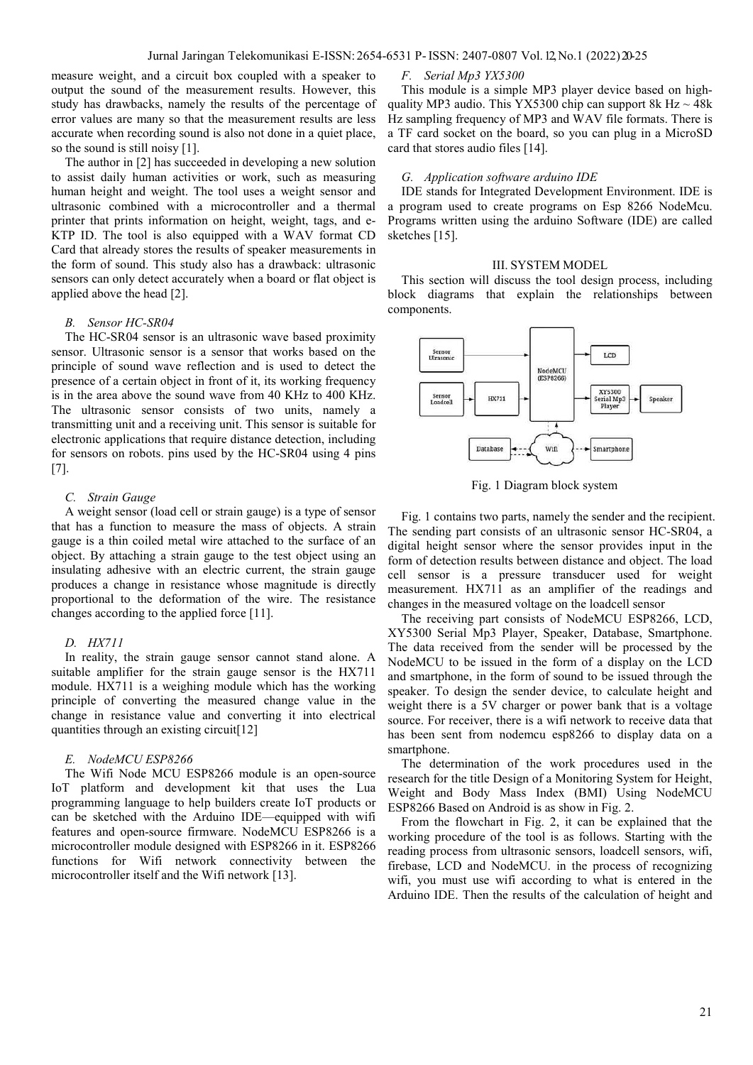measure weight, and a circuit box coupled with a speaker to output the sound of the measurement results. However, this study has drawbacks, namely the results of the percentage of error values are many so that the measurement results are less accurate when recording sound is also not done in a quiet place, so the sound is still noisy [1].

The author in [2] has succeeded in developing a new solution to assist daily human activities or work, such as measuring human height and weight. The tool uses a weight sensor and ultrasonic combined with a microcontroller and a thermal printer that prints information on height, weight, tags, and e-KTP ID. The tool is also equipped with a WAV format CD Card that already stores the results of speaker measurements in the form of sound. This study also has a drawback: ultrasonic sensors can only detect accurately when a board or flat object is applied above the head [2].

#### *B. Sensor HC-SR04*

The HC-SR04 sensor is an ultrasonic wave based proximity sensor. Ultrasonic sensor is a sensor that works based on the principle of sound wave reflection and is used to detect the presence of a certain object in front of it, its working frequency is in the area above the sound wave from 40 KHz to 400 KHz. The ultrasonic sensor consists of two units, namely a transmitting unit and a receiving unit. This sensor is suitable for electronic applications that require distance detection, including for sensors on robots. pins used by the HC-SR04 using 4 pins [7].

# *C. Strain Gauge*

A weight sensor (load cell or strain gauge) is a type of sensor that has a function to measure the mass of objects. A strain gauge is a thin coiled metal wire attached to the surface of an object. By attaching a strain gauge to the test object using an insulating adhesive with an electric current, the strain gauge produces a change in resistance whose magnitude is directly proportional to the deformation of the wire. The resistance changes according to the applied force [11].

#### *D. HX711*

In reality, the strain gauge sensor cannot stand alone. A suitable amplifier for the strain gauge sensor is the HX711 module. HX711 is a weighing module which has the working principle of converting the measured change value in the change in resistance value and converting it into electrical quantities through an existing circuit[12]

# *E. NodeMCU ESP8266*

The Wifi Node MCU ESP8266 module is an open-source IoT platform and development kit that uses the Lua programming language to help builders create IoT products or can be sketched with the Arduino IDE—equipped with wifi features and open-source firmware. NodeMCU ESP8266 is a microcontroller module designed with ESP8266 in it. ESP8266 functions for Wifi network connectivity between the microcontroller itself and the Wifi network [13].

# *F. Serial Mp3 YX5300*

This module is a simple MP3 player device based on highquality MP3 audio. This YX5300 chip can support 8k Hz  $\sim$  48k Hz sampling frequency of MP3 and WAV file formats. There is a TF card socket on the board, so you can plug in a MicroSD card that stores audio files [14].

#### *G. Application software arduino IDE*

IDE stands for Integrated Development Environment. IDE is a program used to create programs on Esp 8266 NodeMcu. Programs written using the arduino Software (IDE) are called sketches [15].

#### III. SYSTEM MODEL

This section will discuss the tool design process, including block diagrams that explain the relationships between components.



Fig. 1 Diagram block system

Fig. 1 contains two parts, namely the sender and the recipient. The sending part consists of an ultrasonic sensor HC-SR04, a digital height sensor where the sensor provides input in the form of detection results between distance and object. The load cell sensor is a pressure transducer used for weight measurement. HX711 as an amplifier of the readings and changes in the measured voltage on the loadcell sensor

The receiving part consists of NodeMCU ESP8266, LCD, XY5300 Serial Mp3 Player, Speaker, Database, Smartphone. The data received from the sender will be processed by the NodeMCU to be issued in the form of a display on the LCD and smartphone, in the form of sound to be issued through the speaker. To design the sender device, to calculate height and weight there is a 5V charger or power bank that is a voltage source. For receiver, there is a wifi network to receive data that has been sent from nodemcu esp8266 to display data on a smartphone.

The determination of the work procedures used in the research for the title Design of a Monitoring System for Height, Weight and Body Mass Index (BMI) Using NodeMCU ESP8266 Based on Android is as show in Fig. 2.

From the flowchart in Fig. 2, it can be explained that the working procedure of the tool is as follows. Starting with the reading process from ultrasonic sensors, loadcell sensors, wifi, firebase, LCD and NodeMCU. in the process of recognizing wifi, you must use wifi according to what is entered in the Arduino IDE. Then the results of the calculation of height and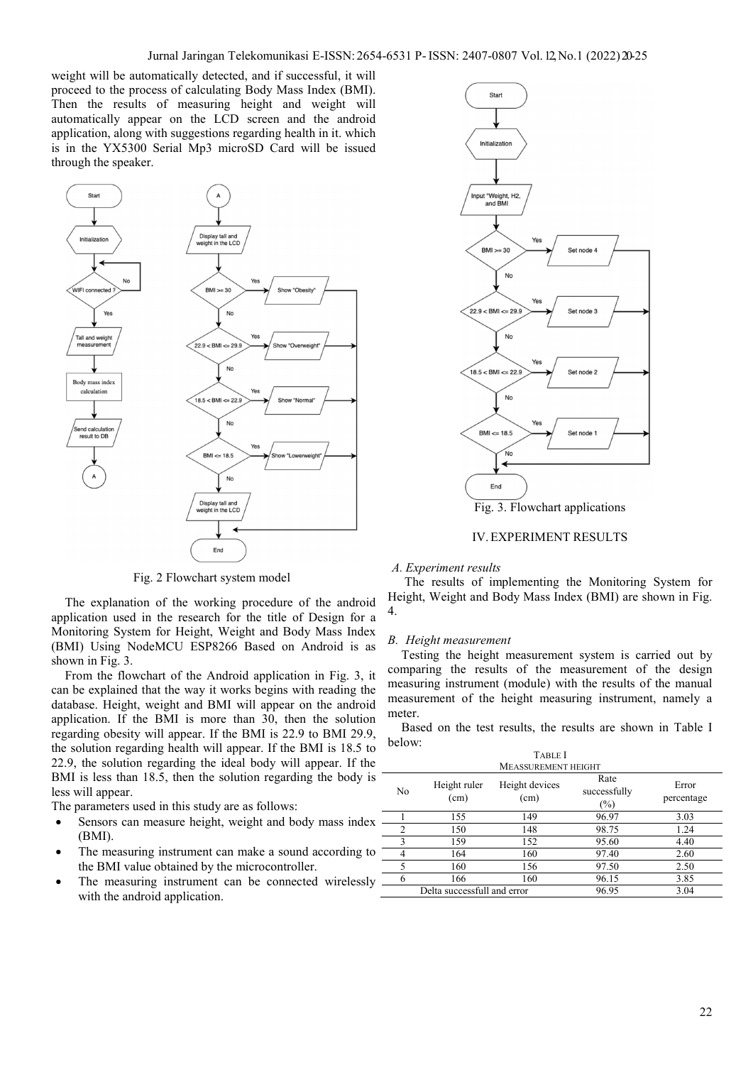weight will be automatically detected, and if successful, it will proceed to the process of calculating Body Mass Index (BMI). Then the results of measuring height and weight will automatically appear on the LCD screen and the android application, along with suggestions regarding health in it. which is in the YX5300 Serial Mp3 microSD Card will be issued through the speaker.



Fig. 2 Flowchart system model

The explanation of the working procedure of the android application used in the research for the title of Design for a Monitoring System for Height, Weight and Body Mass Index (BMI) Using NodeMCU ESP8266 Based on Android is as shown in Fig. 3.

From the flowchart of the Android application in Fig. 3, it can be explained that the way it works begins with reading the database. Height, weight and BMI will appear on the android application. If the BMI is more than 30, then the solution regarding obesity will appear. If the BMI is 22.9 to BMI 29.9, the solution regarding health will appear. If the BMI is 18.5 to 22.9, the solution regarding the ideal body will appear. If the BMI is less than 18.5, then the solution regarding the body is less will appear.

The parameters used in this study are as follows:

- Sensors can measure height, weight and body mass index (BMI).
- The measuring instrument can make a sound according to the BMI value obtained by the microcontroller.
- The measuring instrument can be connected wirelessly  $=$ with the android application.



IV.EXPERIMENT RESULTS

#### *A. Experiment results*

The results of implementing the Monitoring System for Height, Weight and Body Mass Index (BMI) are shown in Fig. 4.

## *B. Height measurement*

Testing the height measurement system is carried out by comparing the results of the measurement of the design measuring instrument (module) with the results of the manual measurement of the height measuring instrument, namely a meter.

Based on the test results, the results are shown in Table I below:

| <b>TABLE I</b>              |                      |                        |                                |                     |  |  |  |
|-----------------------------|----------------------|------------------------|--------------------------------|---------------------|--|--|--|
| <b>MEASSUREMENT HEIGHT</b>  |                      |                        |                                |                     |  |  |  |
| No                          | Height ruler<br>(cm) | Height devices<br>(cm) | Rate<br>successfully<br>$(\%)$ | Error<br>percentage |  |  |  |
|                             | 155                  | 149                    | 96.97                          | 3.03                |  |  |  |
| $\overline{c}$              | 150                  | 148                    | 98.75                          | 1.24                |  |  |  |
| 3                           | 159                  | 152                    | 95.60                          | 4.40                |  |  |  |
|                             | 164                  | 160                    | 97.40                          | 2.60                |  |  |  |
| 5                           | 160                  | 156                    | 97.50                          | 2.50                |  |  |  |
| 6                           | 166                  | 160                    | 96.15                          | 3.85                |  |  |  |
| Delta successfull and error |                      |                        | 96.95                          | 3.04                |  |  |  |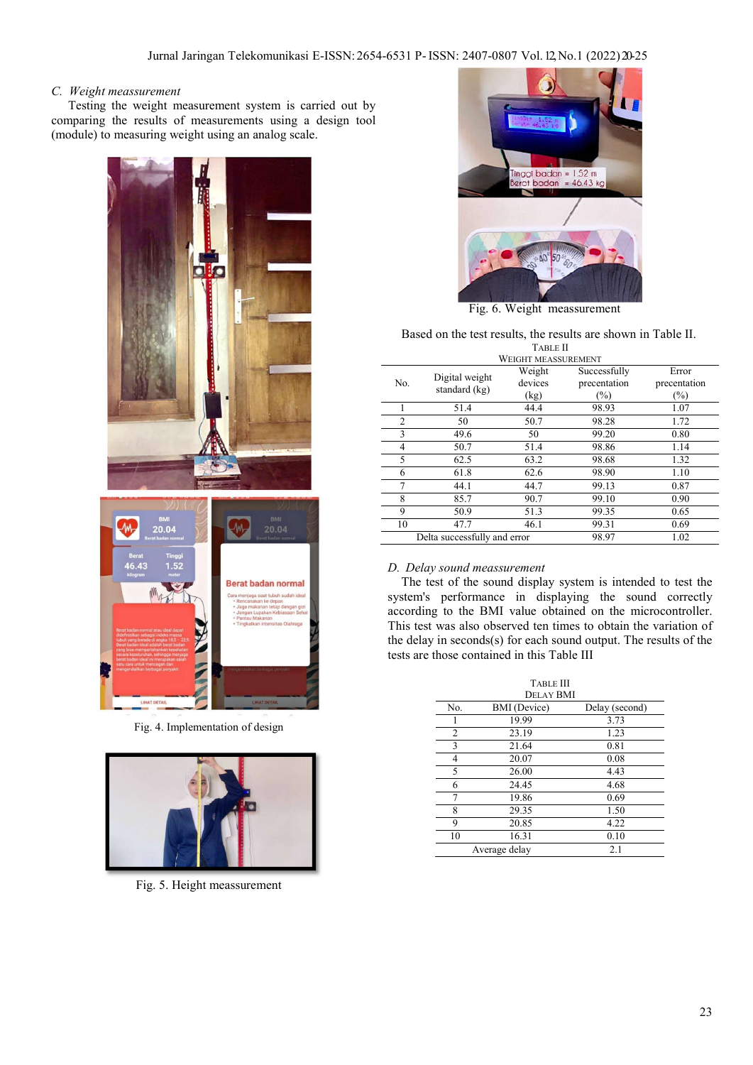# *C. Weight meassurement*

Testing the weight measurement system is carried out by comparing the results of measurements using a design tool (module) to measuring weight using an analog scale.



Fig. 4. Implementation of design



Fig. 5. Height meassurement



Fig. 6. Weight meassurement

# Based on the test results, the results are shown in Table II. TABLE II

| <b>WEIGHT MEASSUREMENT</b>   |                                 |                   |                              |                       |  |
|------------------------------|---------------------------------|-------------------|------------------------------|-----------------------|--|
| No.                          | Digital weight<br>standard (kg) | Weight<br>devices | Successfully<br>precentation | Error<br>precentation |  |
|                              |                                 | (kg)              | $(\%)$                       | $(\%)$                |  |
|                              | 51.4                            | 44.4              | 98.93                        | 1.07                  |  |
| $\overline{c}$               | 50                              | 50.7              | 98.28                        | 1.72                  |  |
| 3                            | 49.6                            | 50                | 99.20                        | 0.80                  |  |
| 4                            | 50.7                            | 51.4              | 98.86                        | 1.14                  |  |
| 5                            | 62.5                            | 63.2              | 98.68                        | 1.32                  |  |
| 6                            | 61.8                            | 62.6              | 98.90                        | 1.10                  |  |
|                              | 44.1                            | 44.7              | 99.13                        | 0.87                  |  |
| 8                            | 85.7                            | 90.7              | 99.10                        | 0.90                  |  |
| 9                            | 50.9                            | 51.3              | 99.35                        | 0.65                  |  |
| 10                           | 47.7                            | 46.1              | 99.31                        | 0.69                  |  |
| Delta successfully and error |                                 |                   | 98.97                        | 1.02                  |  |

# *D. Delay sound meassurement*

The test of the sound display system is intended to test the system's performance in displaying the sound correctly according to the BMI value obtained on the microcontroller. This test was also observed ten times to obtain the variation of the delay in seconds(s) for each sound output. The results of the tests are those contained in this Table III

| <b>TABLE III</b><br><b>DELAY BMI</b> |                     |                |  |  |  |  |
|--------------------------------------|---------------------|----------------|--|--|--|--|
| No.                                  | <b>BMI</b> (Device) | Delay (second) |  |  |  |  |
| 1                                    | 19.99               | 3.73           |  |  |  |  |
| 2                                    | 23.19               | 1.23           |  |  |  |  |
| 3                                    | 21.64               | 0.81           |  |  |  |  |
| 4                                    | 20.07               | 0.08           |  |  |  |  |
| 5                                    | 26.00               | 4.43           |  |  |  |  |
| 6                                    | 24.45               | 4.68           |  |  |  |  |
| 7                                    | 19.86               | 0.69           |  |  |  |  |
| 8                                    | 29.35               | 1.50           |  |  |  |  |
| 9                                    | 20.85               | 4.22           |  |  |  |  |
| 10                                   | 16.31               | 0.10           |  |  |  |  |
|                                      | Average delay       | 2.1            |  |  |  |  |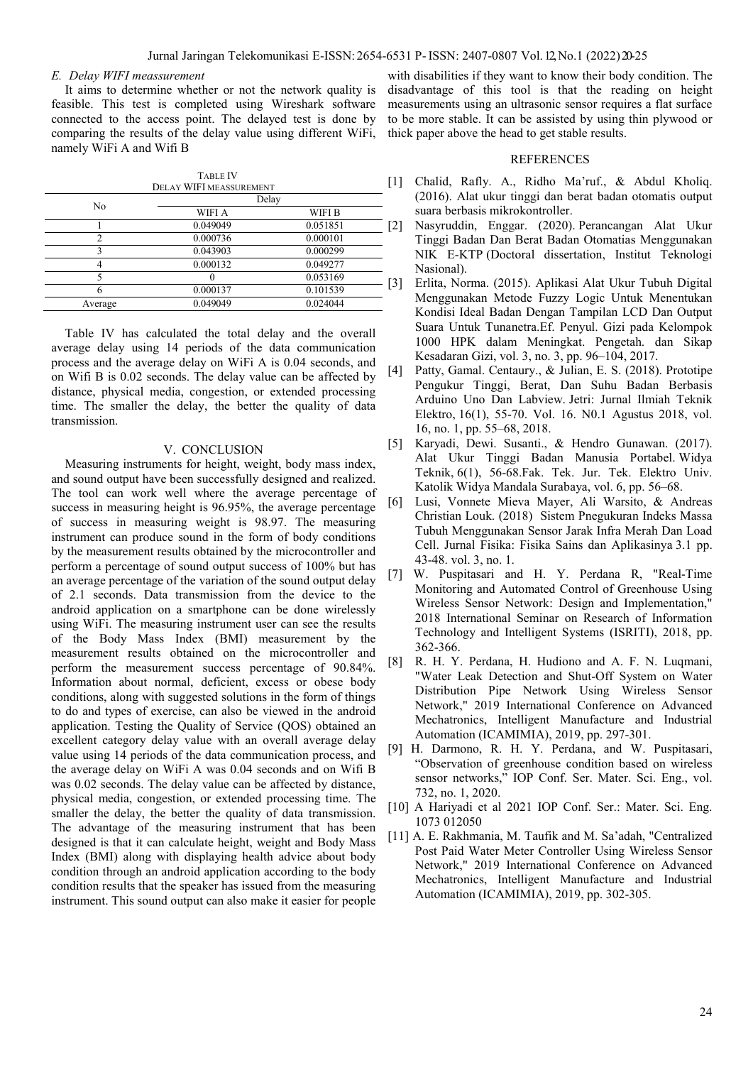#### *E. Delay WIFI meassurement*

It aims to determine whether or not the network quality is feasible. This test is completed using Wireshark software connected to the access point. The delayed test is done by comparing the results of the delay value using different WiFi, namely WiFi A and Wifi B

|         | <b>TABLE IV</b>         |          |                   |
|---------|-------------------------|----------|-------------------|
|         | DELAY WIFI MEASSUREMENT |          |                   |
|         | Delay                   |          |                   |
| No      | <b>WIFI A</b>           | WIFI B   |                   |
|         | 0.049049                | 0.051851 | 2                 |
| 2       | 0.000736                | 0.000101 |                   |
| 3       | 0.043903                | 0.000299 |                   |
|         | 0.000132                | 0.049277 |                   |
|         |                         | 0.053169 | $\lceil 3 \rceil$ |
| 6       | 0.000137                | 0.101539 |                   |
| Average | 0.049049                | 0.024044 |                   |
|         |                         |          |                   |

Table IV has calculated the total delay and the overall average delay using 14 periods of the data communication process and the average delay on WiFi A is 0.04 seconds, and on Wifi B is 0.02 seconds. The delay value can be affected by distance, physical media, congestion, or extended processing time. The smaller the delay, the better the quality of data transmission.

# V. CONCLUSION

Measuring instruments for height, weight, body mass index, and sound output have been successfully designed and realized. The tool can work well where the average percentage of success in measuring height is 96.95%, the average percentage of success in measuring weight is 98.97. The measuring instrument can produce sound in the form of body conditions by the measurement results obtained by the microcontroller and perform a percentage of sound output success of 100% but has an average percentage of the variation of the sound output delay of 2.1 seconds. Data transmission from the device to the android application on a smartphone can be done wirelessly using WiFi. The measuring instrument user can see the results of the Body Mass Index (BMI) measurement by the measurement results obtained on the microcontroller and perform the measurement success percentage of 90.84%. Information about normal, deficient, excess or obese body conditions, along with suggested solutions in the form of things to do and types of exercise, can also be viewed in the android application. Testing the Quality of Service (QOS) obtained an excellent category delay value with an overall average delay value using 14 periods of the data communication process, and the average delay on WiFi A was 0.04 seconds and on Wifi B was 0.02 seconds. The delay value can be affected by distance, physical media, congestion, or extended processing time. The smaller the delay, the better the quality of data transmission. The advantage of the measuring instrument that has been designed is that it can calculate height, weight and Body Mass Index (BMI) along with displaying health advice about body condition through an android application according to the body condition results that the speaker has issued from the measuring instrument. This sound output can also make it easier for people

with disabilities if they want to know their body condition. The disadvantage of this tool is that the reading on height measurements using an ultrasonic sensor requires a flat surface to be more stable. It can be assisted by using thin plywood or thick paper above the head to get stable results.

# REFERENCES

- Chalid, Rafly. A., Ridho Ma'ruf., & Abdul Kholiq. (2016). Alat ukur tinggi dan berat badan otomatis output suara berbasis mikrokontroller.
- [2] Nasyruddin, Enggar. (2020). Perancangan Alat Ukur Tinggi Badan Dan Berat Badan Otomatias Menggunakan NIK E-KTP (Doctoral dissertation, Institut Teknologi Nasional).
- [3] Erlita, Norma. (2015). Aplikasi Alat Ukur Tubuh Digital Menggunakan Metode Fuzzy Logic Untuk Menentukan Kondisi Ideal Badan Dengan Tampilan LCD Dan Output Suara Untuk Tunanetra.Ef. Penyul. Gizi pada Kelompok 1000 HPK dalam Meningkat. Pengetah. dan Sikap Kesadaran Gizi, vol. 3, no. 3, pp. 96–104, 2017.
- [4] Patty, Gamal. Centaury., & Julian, E. S. (2018). Prototipe Pengukur Tinggi, Berat, Dan Suhu Badan Berbasis Arduino Uno Dan Labview. Jetri: Jurnal Ilmiah Teknik Elektro, 16(1), 55-70. Vol. 16. N0.1 Agustus 2018, vol. 16, no. 1, pp. 55–68, 2018.
- [5] Karyadi, Dewi. Susanti., & Hendro Gunawan. (2017). Alat Ukur Tinggi Badan Manusia Portabel. Widya Teknik, 6(1), 56-68.Fak. Tek. Jur. Tek. Elektro Univ. Katolik Widya Mandala Surabaya, vol. 6, pp. 56–68.
- [6] Lusi, Vonnete Mieva Mayer, Ali Warsito, & Andreas Christian Louk. (2018) Sistem Pnegukuran Indeks Massa Tubuh Menggunakan Sensor Jarak Infra Merah Dan Load Cell. Jurnal Fisika: Fisika Sains dan Aplikasinya 3.1 pp. 43-48. vol. 3, no. 1.
- [7] W. Puspitasari and H. Y. Perdana R, "Real-Time Monitoring and Automated Control of Greenhouse Using Wireless Sensor Network: Design and Implementation," 2018 International Seminar on Research of Information Technology and Intelligent Systems (ISRITI), 2018, pp. 362-366.
- [8] R. H. Y. Perdana, H. Hudiono and A. F. N. Luqmani, "Water Leak Detection and Shut-Off System on Water Distribution Pipe Network Using Wireless Sensor Network," 2019 International Conference on Advanced Mechatronics, Intelligent Manufacture and Industrial Automation (ICAMIMIA), 2019, pp. 297-301.
- [9] H. Darmono, R. H. Y. Perdana, and W. Puspitasari, "Observation of greenhouse condition based on wireless sensor networks," IOP Conf. Ser. Mater. Sci. Eng., vol. 732, no. 1, 2020.
- [10] A Hariyadi et al 2021 IOP Conf. Ser.: Mater. Sci. Eng. 1073 012050
- [11] A. E. Rakhmania, M. Taufik and M. Sa'adah, "Centralized Post Paid Water Meter Controller Using Wireless Sensor Network," 2019 International Conference on Advanced Mechatronics, Intelligent Manufacture and Industrial Automation (ICAMIMIA), 2019, pp. 302-305.